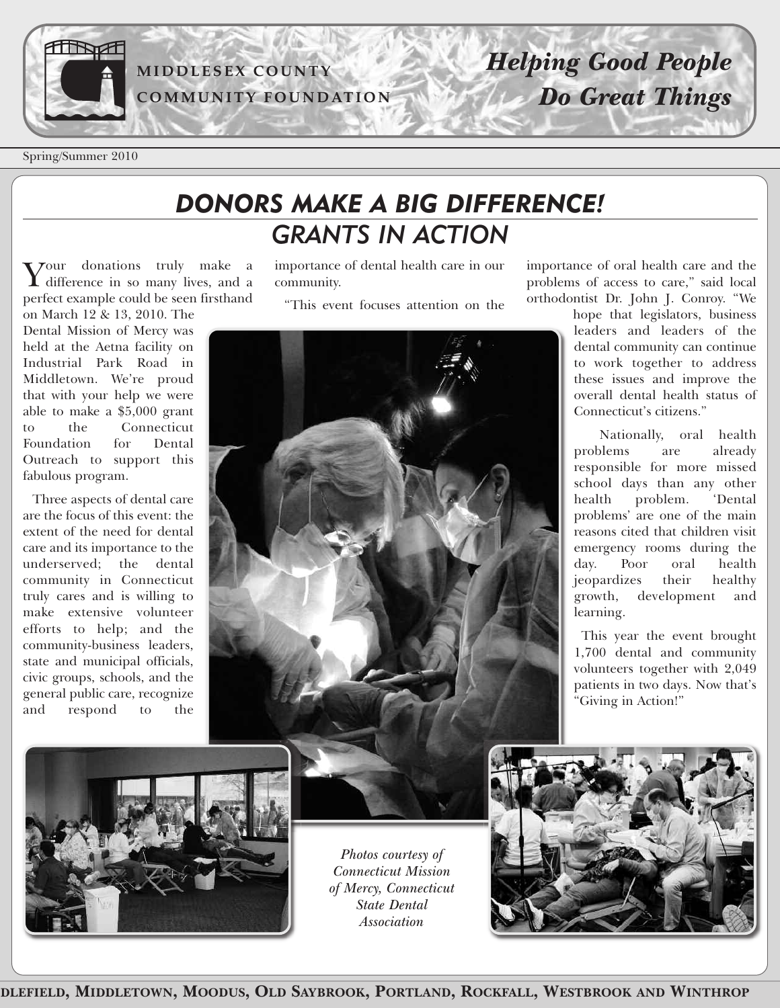

### **MI D D LESEX C O U N TY C OMMU N ITY F O U N D ATI O N**

# *Helping Good People Do Great Things*

Spring/Summer 2010

## *DONORS MAKE A BIG DIFFERENCE! GRANTS IN ACTION*

Your donations truly make <sup>a</sup> **I** difference in so many lives, and a perfect example could be seen firsthand

on March 12 & 13, 2010. The Dental Mission of Mercy was held at the Aetna facility on Industrial Park Road in Middletown. We're proud that with your help we were able to make a \$5,000 grant to the Connecticut Foundation for Dental Outreach to support this fabulous program.

Three aspects of dental care are the focus of this event: the extent of the need for dental care and its importance to the underserved; the dental community in Connecticut truly cares and is willing to make extensive volunteer efforts to help; and the community-business leaders, state and municipal officials, civic groups, schools, and the general public care, recognize and respond to the

importance of dental health care in our community.

"This event focuses attention on the



importance of oral health care and the problems of access to care," said local orthodontist Dr. John J. Conroy. "We

hope that legislators, business leaders and leaders of the dental community can continue to work together to address these issues and improve the overall dental health status of Connecticut's citizens."

Nationally, oral health problems are already responsible for more missed school days than any other health problem. 'Dental problems' are one of the main reasons cited that children visit emergency rooms during the day. Poor oral health jeopardizes their healthy growth, development and learning.

This year the event brought 1,700 dental and community volunteers together with 2,049 patients in two days. Now that's "Giving in Action!"



*Photos courtesy of Connecticut Mission of Mercy, Connecticut State Dental Association*

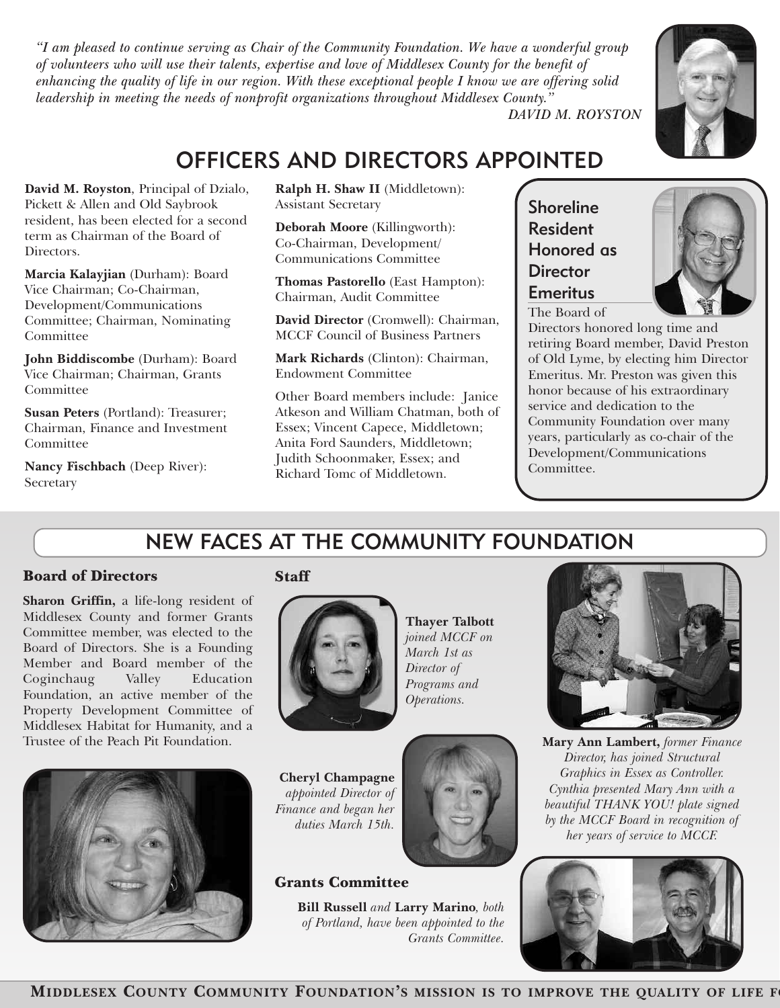*"I am pleased to continue serving as Chair of the Community Foundation. We have a wonderful group of volunteers who will use their talents, expertise and love of Middlesex County for the benefit of* enhancing the quality of life in our region. With these exceptional people I know we are offering solid *leadership in meeting the needs of nonprofit organizations throughout Middlesex County."*



*DAVID M. ROYSTON*

## OFFICERS AND DIRECTORS APPOINTED

**David M. Royston**, Principal of Dzialo, Pickett & Allen and Old Saybrook resident, has been elected for a second term as Chairman of the Board of Directors.

**Marcia Kalayjian** (Durham): Board Vice Chairman; Co-Chairman, Development/Communications Committee; Chairman, Nominating Committee

**John Biddiscombe** (Durham): Board Vice Chairman; Chairman, Grants Committee

**Susan Peters** (Portland): Treasurer; Chairman, Finance and Investment Committee

**Nancy Fischbach** (Deep River): Secretary

**Ralph H. Shaw II** (Middletown): Assistant Secretary

**Deborah Moore** (Killingworth): Co-Chairman, Development/ Communications Committee

**Thomas Pastorello** (East Hampton): Chairman, Audit Committee

**David Director** (Cromwell): Chairman, MCCF Council of Business Partners

**Mark Richards** (Clinton): Chairman, Endowment Committee

Other Board members include: Janice Atkeson and William Chatman, both of Essex; Vincent Capece, Middletown; Anita Ford Saunders, Middletown; Judith Schoonmaker, Essex; and Richard Tomc of Middletown.

Shoreline Resident Honored as **Director** Emeritus

The Board of



Directors honored long time and retiring Board member, David Preston of Old Lyme, by electing him Director Emeritus. Mr. Preston was given this honor because of his extraordinary service and dedication to the Community Foundation over many years, particularly as co-chair of the Development/Communications Committee.

## NEW FACES AT THE COMMUNITY FOUNDATION

#### **Board of Directors**

**Sharon Griffin,** a life-long resident of Middlesex County and former Grants Committee member, was elected to the Board of Directors. She is a Founding Member and Board member of the Coginchaug Valley Education Foundation, an active member of the Property Development Committee of Middlesex Habitat for Humanity, and a Trustee of the Peach Pit Foundation.



#### **Staff**



**Cheryl Champagne** *appointed Director of Finance and began her duties March 15th.*

**Grants Committee**

**Thayer Talbott** *joined MCCF on March 1st as Director of Programs and Operations.*



**Mary Ann Lambert,** *former Finance Director, has joined Structural Graphics in Essex as Controller. Cynthia presented Mary Ann with a beautiful THANK YOU! plate signed by the MCCF Board in recognition of her years of service to MCCF.*



### **MIDDLESEX COUNTY COMMUNITY FOUNDATI** P**O**ag **N**e**'**2**S MISSION IS TO IMPROVE THE QUALITY OF LIFE FO**

**Bill Russell** *and* **Larry Marino***, both of Portland, have been appointed to the*

*Grants Committee.*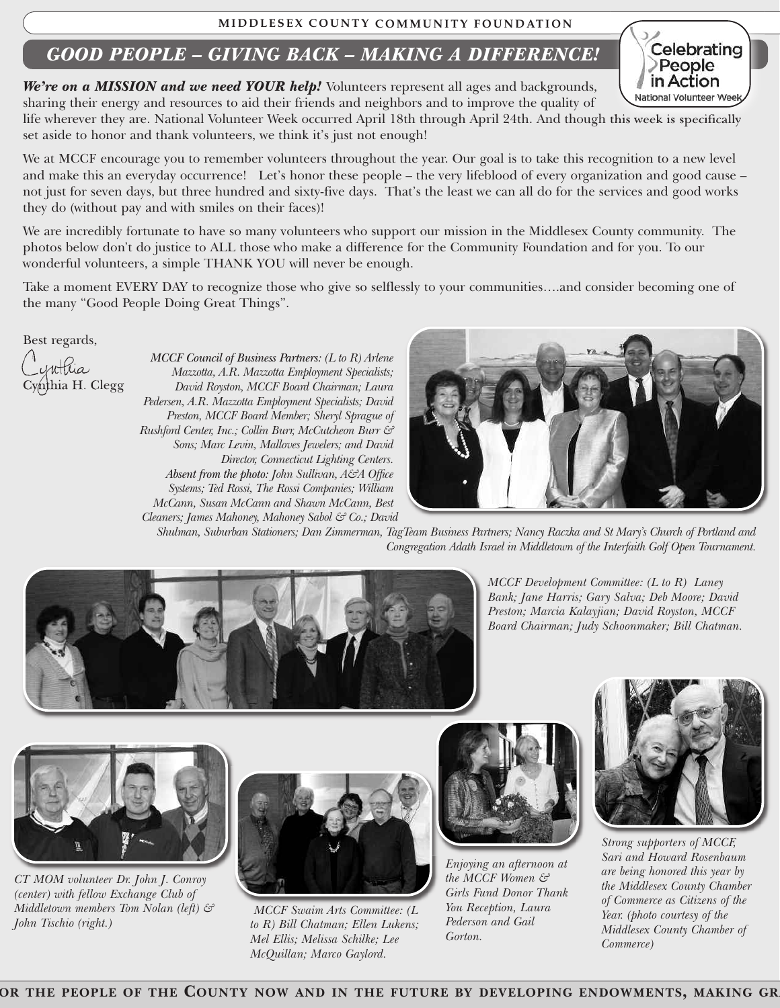#### **MI D D LESEX C O U N TY C OMMU N ITY F O U N D ATI O N**

### *GOOD PEOPLE – GIVING BACK – MAKING A DIFFERENCE!*

*We're on a MISSION and we need YOUR help!* Volunteers represent all ages and backgrounds,

sharing their energy and resources to aid their friends and neighbors and to improve the quality of life wherever they are. National Volunteer Week occurred April 18th through April 24th. And though this week is specifically set aside to honor and thank volunteers, we think it's just not enough!

We at MCCF encourage you to remember volunteers throughout the year. Our goal is to take this recognition to a new level and make this an everyday occurrence! Let's honor these people – the very lifeblood of every organization and good cause – not just for seven days, but three hundred and sixty-five days. That's the least we can all do for the services and good works they do (without pay and with smiles on their faces)!

We are incredibly fortunate to have so many volunteers who support our mission in the Middlesex County community. The photos below don't do justice to ALL those who make a difference for the Community Foundation and for you. To our wonderful volunteers, a simple THANK YOU will never be enough.

Take a moment EVERY DAY to recognize those who give so selflessly to your communities….and consider becoming one of the many "Good People Doing Great Things".

Best regards,

Cynthia H. Clegg

*MCCF Council of Business Partners: (L to R) Arlene Mazzotta, A.R. Mazzotta Employment Specialists; David Royston, MCCF Board Chairman; Laura Pedersen, A.R. Mazzotta Employment Specialists; David Preston, MCCF Board Member; Sheryl Sprague of Rushford Center, Inc.; Collin Burr, McCutcheon Burr & Sons; Marc Levin, Malloves Jewelers; and David Director, Connecticut Lighting Centers. Absent from the photo: John Sullivan, A&A Office Systems; Ted Rossi, The Rossi Companies; William McCann, Susan McCann and Shawn McCann, Best Cleaners; James Mahoney, Mahoney Sabol & Co.; David*



Shulman, Suburban Stationers; Dan Zimmerman, TagTeam Business Partners; Nancy Raczka and St Mary's Church of Portland and *Congregation Adath Israel in Middletown of the Interfaith Golf Open Tournament.*



*MCCF Development Committee: (L to R) Laney Bank; Jane Harris; Gary Salva; Deb Moore; David Preston; Marcia Kalayjian; David Royston, MCCF Board Chairman; Judy Schoonmaker; Bill Chatman.*



*CT MOM volunteer Dr. John J. Conroy (center) with fellow Exchange Club of Middletown members Tom Nolan (left) & John Tischio (right.)*



*MCCF Swaim Arts Committee: (L to R) Bill Chatman; Ellen Lukens; Mel Ellis; Melissa Schilke; Lee McQuillan; Marco Gaylord.*



*Enjoying an afternoon at the MCCF Women & Girls Fund Donor Thank You Reception, Laura Pederson and Gail Gorton.*



*Strong supporters of MCCF, Sari and Howard Rosenbaum are being honored this year by the Middlesex County Chamber of Commerce as Citizens of the Year. (photo courtesy of the Middlesex County Chamber of Commerce)*

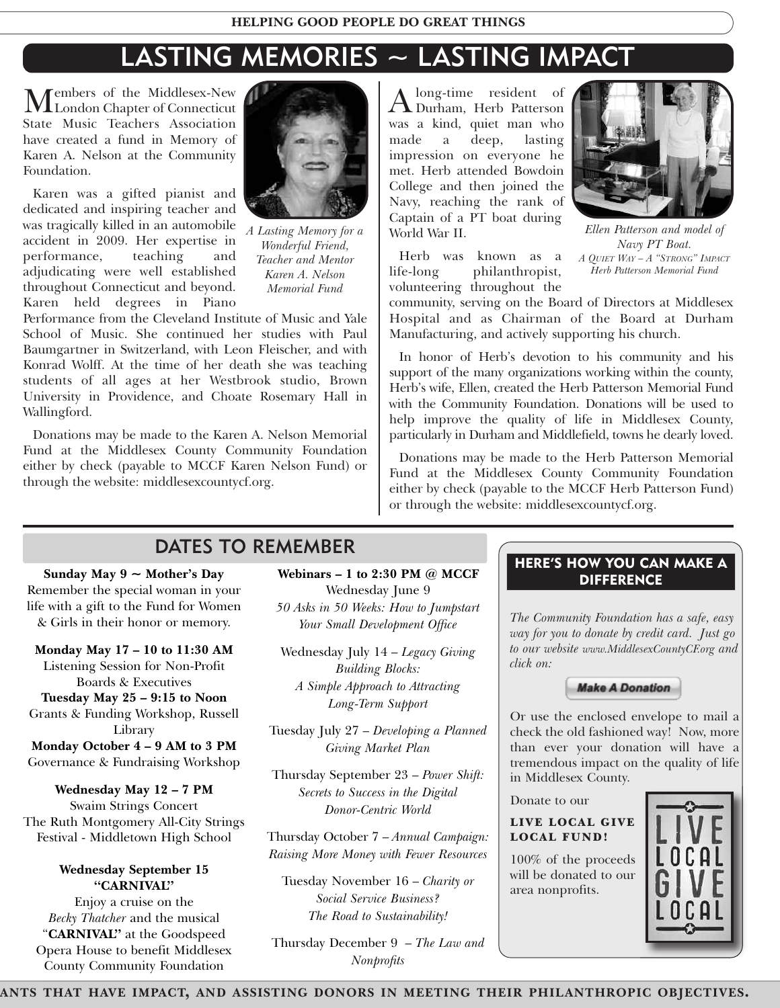## LASTING MEMORIES ~ LASTING IMPACT

Members of the Middlesex-New<br>Extends to Connecticut State Music Teachers Association have created a fund in Memory of Karen A. Nelson at the Community Foundation.

Karen was a gifted pianist and dedicated and inspiring teacher and was tragically killed in an automobile accident in 2009. Her expertise in performance, teaching and adjudicating were well established throughout Connecticut and beyond. Karen held degrees in Piano



*A Lasting Memory for a Wonderful Friend, Teacher and Mentor Karen A. Nelson Memorial Fund*

Performance from the Cleveland Institute of Music and Yale School of Music. She continued her studies with Paul Baumgartner in Switzerland, with Leon Fleischer, and with Konrad Wolff. At the time of her death she was teaching students of all ages at her Westbrook studio, Brown University in Providence, and Choate Rosemary Hall in Wallingford.

Donations may be made to the Karen A. Nelson Memorial Fund at the Middlesex County Community Foundation either by check (payable to MCCF Karen Nelson Fund) or through the website: middlesexcountycf.org.

Along-time resident of Durham, Herb Patterson was a kind, quiet man who made a deep, lasting impression on everyone he met. Herb attended Bowdoin College and then joined the Navy, reaching the rank of Captain of a PT boat during World War II.

Herb was known as a life-long philanthropist, volunteering throughout the



*Ellen Patterson and model of Navy PT Boat. A QUIET WAY – A "STRONG" IMPACT Herb Patterson Memorial Fund*

community, serving on the Board of Directors at Middlesex Hospital and as Chairman of the Board at Durham Manufacturing, and actively supporting his church.

In honor of Herb's devotion to his community and his support of the many organizations working within the county, Herb's wife, Ellen, created the Herb Patterson Memorial Fund with the Community Foundation. Donations will be used to help improve the quality of life in Middlesex County, particularly in Durham and Middlefield, towns he dearly loved.

Donations may be made to the Herb Patterson Memorial Fund at the Middlesex County Community Foundation either by check (payable to the MCCF Herb Patterson Fund) or through the website: middlesexcountycf.org.

### DATES TO REMEMBER

**Sunday May 9 ~ Mother's Day** Remember the special woman in your life with a gift to the Fund for Women & Girls in their honor or memory.

**Monday May 17 – 10 to 11:30 AM** Listening Session for Non-Profit Boards & Executives

**Tuesday May 25 – 9:15 to Noon** Grants & Funding Workshop, Russell Library

**Monday October 4 – 9 AM to 3 PM** Governance & Fundraising Workshop

**Wednesday May 12 – 7 PM** Swaim Strings Concert The Ruth Montgomery All-City Strings Festival - Middletown High School

#### **Wednesday September 15 "CARNIVAL"**

Enjoy a cruise on the *Becky Thatcher* and the musical "**CARNIVAL"** at the Goodspeed Opera House to benefit Middlesex County Community Foundation

**Webinars – 1 to 2:30 PM @ MCCF** Wednesday June 9 *50 Asks in 50 Weeks: How to Jumpstart Your Small Development Office*

Wednesday July 14 – *Legacy Giving Building Blocks: A Simple Approach to Attracting Long-Term Support*

Tuesday July 27 – *Developing a Planned Giving Market Plan*

Thursday September 23 – *Power Shift: Secrets to Success in the Digital Donor-Centric World*

Thursday October 7 – *Annual Campaign: Raising More Money with Fewer Resources*

Tuesday November 16 – *Charity or Social Service Business? The Road to Sustainability!*

Thursday December 9 – *The Law and Nonprofits*

#### **HERE'S HOW YOU CAN MAKE A DIFFERENCE**

*The Community Foundation has a safe, easy way for you to donate by credit card. Just go to our website www.MiddlesexCountyCF.org and click on:*



Or use the enclosed envelope to mail a check the old fashioned way! Now, more than ever your donation will have a tremendous impact on the quality of life in Middlesex County.

Donate to our

**LIVE LOCAL GIVE LOCAL FUND!**

100% of the proceeds will be donated to our area nonprofits.



Page 4 **ANTS THAT HAVE IMPACT, AND ASSISTING DONORS IN MEETING THEIR PHILANTHROPIC OBJECTIVES.**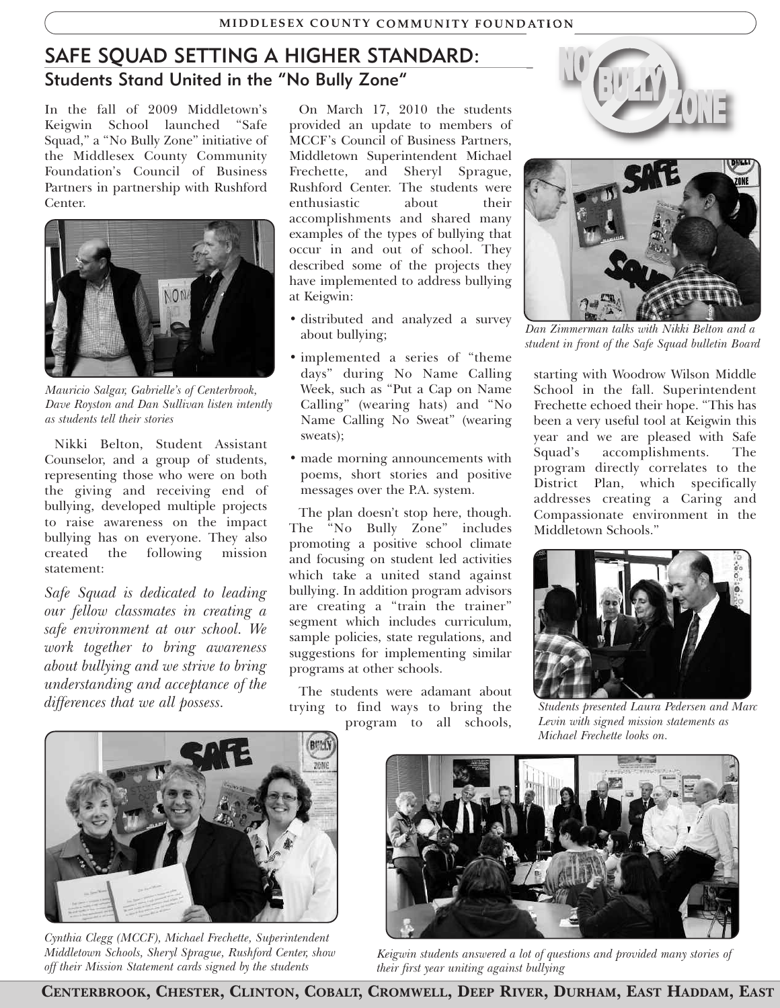### SAFE SQUAD SETTING A HIGHER STANDARD: Students Stand United in the "No Bully Zone"

In the fall of 2009 Middletown's Keigwin School launched "Safe Squad," a "No Bully Zone" initiative of the Middlesex County Community Foundation's Council of Business Partners in partnership with Rushford Center.



*Mauricio Salgar, Gabrielle's of Centerbrook, Dave Royston and Dan Sullivan listen intently as students tell their stories*

Nikki Belton, Student Assistant Counselor, and a group of students, representing those who were on both the giving and receiving end of bullying, developed multiple projects to raise awareness on the impact bullying has on everyone. They also<br>created the following mission created the following statement:

*Safe Squad is dedicated to leading our fellow classmates in creating a safe environment at our school. We work together to bring awareness about bullying and we strive to bring understanding and acceptance of the differences that we all possess.*

On March 17, 2010 the students provided an update to members of MCCF's Council of Business Partners, Middletown Superintendent Michael Frechette, and Sheryl Sprague, Rushford Center. The students were enthusiastic about their accomplishments and shared many examples of the types of bullying that occur in and out of school. They described some of the projects they have implemented to address bullying at Keigwin:

- distributed and analyzed a survey about bullying;
- implemented a series of "theme days" during No Name Calling Week, such as "Put a Cap on Name Calling" (wearing hats) and "No Name Calling No Sweat" (wearing sweats);
- made morning announcements with poems, short stories and positive messages over the P.A. system.

The plan doesn't stop here, though. The "No Bully Zone" includes promoting a positive school climate and focusing on student led activities which take a united stand against bullying. In addition program advisors are creating a "train the trainer" segment which includes curriculum, sample policies, state regulations, and suggestions for implementing similar programs at other schools.

The students were adamant about trying to find ways to bring the program to all schools,





*Dan Zimmerman talks with Nikki Belton and a student in front of the Safe Squad bulletin Board*

starting with Woodrow Wilson Middle School in the fall. Superintendent Frechette echoed their hope. "This has been a very useful tool at Keigwin this year and we are pleased with Safe Squad's accomplishments. The program directly correlates to the District Plan, which specifically addresses creating a Caring and Compassionate environment in the Middletown Schools."



*Students presented Laura Pedersen and Marc Levin with signed mission statements as Michael Frechette looks on.*



*Cynthia Clegg (MCCF), Michael Frechette, Superintendent Middletown Schools, Sheryl Sprague, Rushford Center, show off their Mission Statement cards signed by the students*



*Keigwin students answered a lot of questions and provided many stories of their first year uniting against bullying*

**CENTERBROOK, CHESTER, CLINTON, COBALT, CROMWELL, DEEP RIVER, DURHAM, EAST HADDAM, EAST**